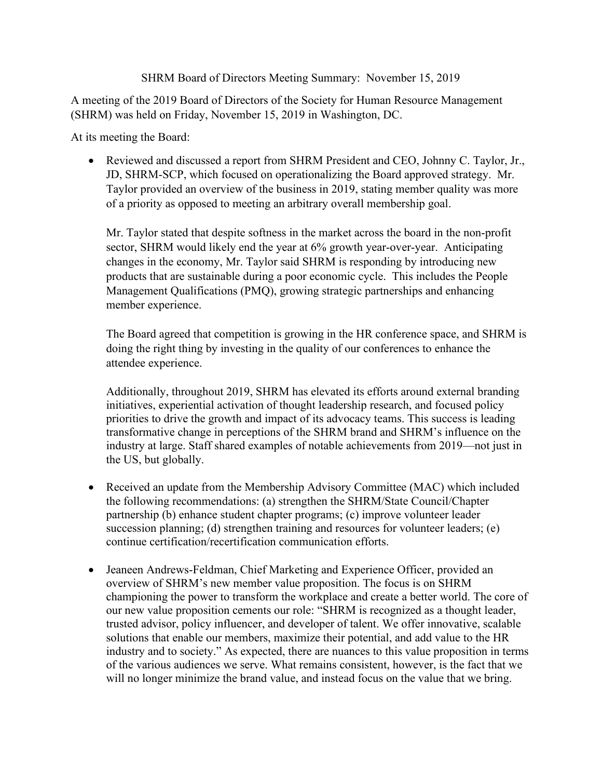## SHRM Board of Directors Meeting Summary: November 15, 2019

A meeting of the 2019 Board of Directors of the Society for Human Resource Management (SHRM) was held on Friday, November 15, 2019 in Washington, DC.

At its meeting the Board:

• Reviewed and discussed a report from SHRM President and CEO, Johnny C. Taylor, Jr., JD, SHRM-SCP, which focused on operationalizing the Board approved strategy. Mr. Taylor provided an overview of the business in 2019, stating member quality was more of a priority as opposed to meeting an arbitrary overall membership goal.

Mr. Taylor stated that despite softness in the market across the board in the non-profit sector, SHRM would likely end the year at 6% growth year-over-year. Anticipating changes in the economy, Mr. Taylor said SHRM is responding by introducing new products that are sustainable during a poor economic cycle. This includes the People Management Qualifications (PMQ), growing strategic partnerships and enhancing member experience.

The Board agreed that competition is growing in the HR conference space, and SHRM is doing the right thing by investing in the quality of our conferences to enhance the attendee experience.

Additionally, throughout 2019, SHRM has elevated its efforts around external branding initiatives, experiential activation of thought leadership research, and focused policy priorities to drive the growth and impact of its advocacy teams. This success is leading transformative change in perceptions of the SHRM brand and SHRM's influence on the industry at large. Staff shared examples of notable achievements from 2019—not just in the US, but globally.

- Received an update from the Membership Advisory Committee (MAC) which included the following recommendations: (a) strengthen the SHRM/State Council/Chapter partnership (b) enhance student chapter programs; (c) improve volunteer leader succession planning; (d) strengthen training and resources for volunteer leaders; (e) continue certification/recertification communication efforts.
- Jeaneen Andrews-Feldman, Chief Marketing and Experience Officer, provided an overview of SHRM's new member value proposition. The focus is on SHRM championing the power to transform the workplace and create a better world. The core of our new value proposition cements our role: "SHRM is recognized as a thought leader, trusted advisor, policy influencer, and developer of talent. We offer innovative, scalable solutions that enable our members, maximize their potential, and add value to the HR industry and to society." As expected, there are nuances to this value proposition in terms of the various audiences we serve. What remains consistent, however, is the fact that we will no longer minimize the brand value, and instead focus on the value that we bring.